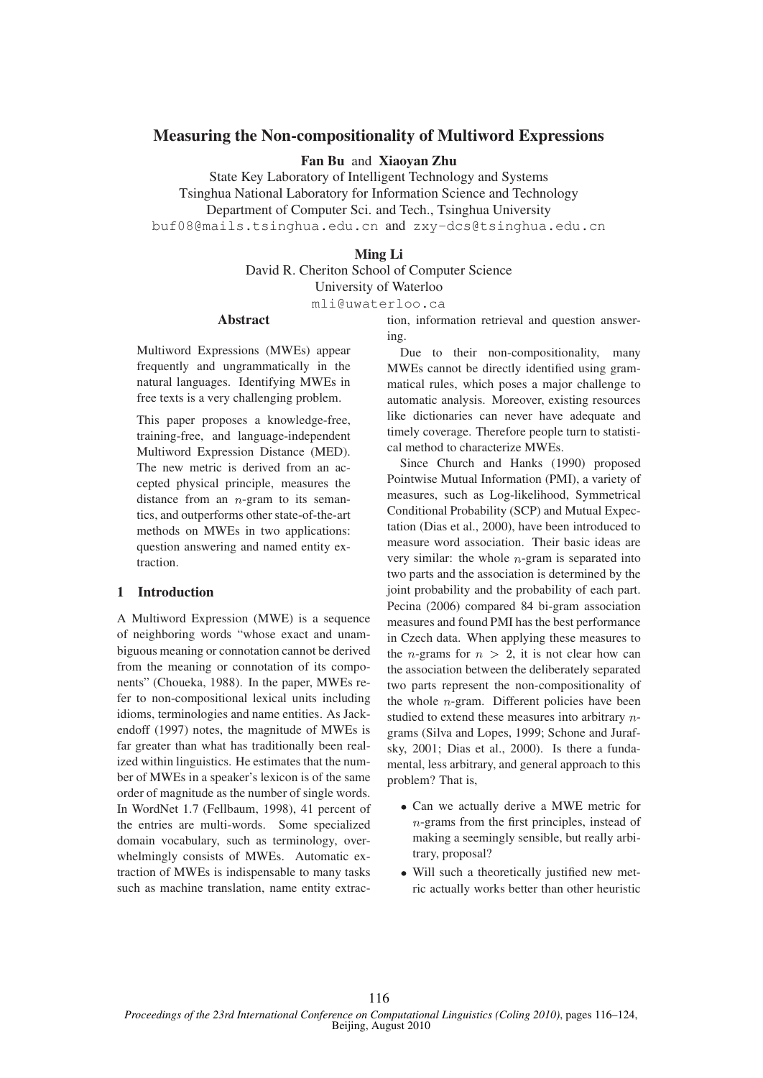# **Measuring the Non-compositionality of Multiword Expressions**

Fan Bu and Xiaoyan Zhu

State Key Laboratory of Intelligent Technology and Systems Tsinghua National Laboratory for Information Science and Technology Department of Computer Sci. and Tech., Tsinghua University buf08@mails.tsinghua.edu.cn and zxy-dcs@tsinghua.edu.cn

## **Ming Li**

David R. Cheriton School of Computer Science University of Waterloo

mli@uwaterloo.ca

## **A** hstract

Multiword Expressions (MWEs) appear frequently and ungrammatically in the natural languages. Identifying MWEs in free texts is a very challenging problem.

This paper proposes a knowledge-free, training-free, and language-independent Multiword Expression Distance (MED). The new metric is derived from an accepted physical principle, measures the distance from an  $n$ -gram to its semantics, and outperforms other state-of-the-art methods on MWEs in two applications: question answering and named entity extraction.

### $\mathbf{1}$ **Introduction**

A Multiword Expression (MWE) is a sequence of neighboring words "whose exact and unambiguous meaning or connotation cannot be derived from the meaning or connotation of its components" (Choueka, 1988). In the paper, MWEs refer to non-compositional lexical units including idioms, terminologies and name entities. As Jackendoff (1997) notes, the magnitude of MWEs is far greater than what has traditionally been realized within linguistics. He estimates that the number of MWEs in a speaker's lexicon is of the same order of magnitude as the number of single words. In WordNet 1.7 (Fellbaum, 1998), 41 percent of the entries are multi-words. Some specialized domain vocabulary, such as terminology, overwhelmingly consists of MWEs. Automatic extraction of MWEs is indispensable to many tasks such as machine translation, name entity extraction, information retrieval and question answering.

Due to their non-compositionality, many MWEs cannot be directly identified using grammatical rules, which poses a major challenge to automatic analysis. Moreover, existing resources like dictionaries can never have adequate and timely coverage. Therefore people turn to statistical method to characterize MWEs.

Since Church and Hanks (1990) proposed Pointwise Mutual Information (PMI), a variety of measures, such as Log-likelihood, Symmetrical Conditional Probability (SCP) and Mutual Expectation (Dias et al., 2000), have been introduced to measure word association. Their basic ideas are very similar: the whole  $n$ -gram is separated into two parts and the association is determined by the joint probability and the probability of each part. Pecina (2006) compared 84 bi-gram association measures and found PMI has the best performance in Czech data. When applying these measures to the *n*-grams for  $n > 2$ , it is not clear how can the association between the deliberately separated two parts represent the non-compositionality of the whole  $n$ -gram. Different policies have been studied to extend these measures into arbitrary ngrams (Silva and Lopes, 1999; Schone and Jurafsky, 2001; Dias et al., 2000). Is there a fundamental, less arbitrary, and general approach to this problem? That is,

- Can we actually derive a MWE metric for  $n$ -grams from the first principles, instead of making a seemingly sensible, but really arbitrary, proposal?
- Will such a theoretically justified new metric actually works better than other heuristic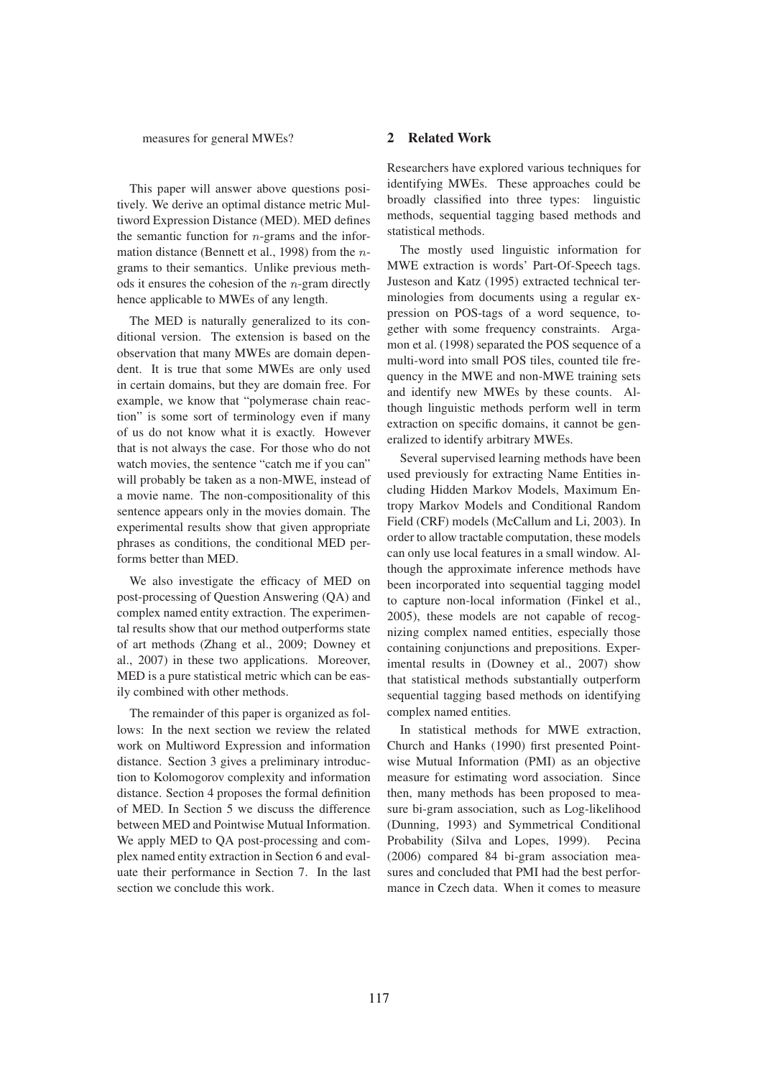This paper will answer above questions positively. We derive an optimal distance metric Multiword Expression Distance (MED). MED defines the semantic function for  $n$ -grams and the information distance (Bennett et al., 1998) from the  $n$ grams to their semantics. Unlike previous methods it ensures the cohesion of the  $n$ -gram directly hence applicable to MWEs of any length.

The MED is naturally generalized to its conditional version. The extension is based on the observation that many MWEs are domain dependent. It is true that some MWEs are only used in certain domains, but they are domain free. For example, we know that "polymerase chain reaction" is some sort of terminology even if many of us do not know what it is exactly. However that is not always the case. For those who do not watch movies, the sentence "catch me if you can" will probably be taken as a non-MWE, instead of a movie name. The non-compositionality of this sentence appears only in the movies domain. The experimental results show that given appropriate phrases as conditions, the conditional MED performs better than MED.

We also investigate the efficacy of MED on post-processing of Question Answering (OA) and complex named entity extraction. The experimental results show that our method outperforms state of art methods (Zhang et al., 2009; Downey et al., 2007) in these two applications. Moreover, MED is a pure statistical metric which can be easily combined with other methods.

The remainder of this paper is organized as follows: In the next section we review the related work on Multiword Expression and information distance. Section 3 gives a preliminary introduction to Kolomogorov complexity and information distance. Section 4 proposes the formal definition of MED. In Section 5 we discuss the difference between MED and Pointwise Mutual Information. We apply MED to QA post-processing and complex named entity extraction in Section 6 and evaluate their performance in Section 7. In the last section we conclude this work.

## 2 Related Work

Researchers have explored various techniques for identifying MWEs. These approaches could be broadly classified into three types: linguistic methods, sequential tagging based methods and statistical methods.

The mostly used linguistic information for MWE extraction is words' Part-Of-Speech tags. Justeson and Katz (1995) extracted technical terminologies from documents using a regular expression on POS-tags of a word sequence, together with some frequency constraints. Argamon et al. (1998) separated the POS sequence of a multi-word into small POS tiles, counted tile frequency in the MWE and non-MWE training sets and identify new MWEs by these counts. Although linguistic methods perform well in term extraction on specific domains, it cannot be generalized to identify arbitrary MWEs.

Several supervised learning methods have been used previously for extracting Name Entities including Hidden Markov Models, Maximum Entropy Markov Models and Conditional Random Field (CRF) models (McCallum and Li, 2003). In order to allow tractable computation, these models can only use local features in a small window. Although the approximate inference methods have been incorporated into sequential tagging model to capture non-local information (Finkel et al., 2005), these models are not capable of recognizing complex named entities, especially those containing conjunctions and prepositions. Experimental results in (Downey et al., 2007) show that statistical methods substantially outperform sequential tagging based methods on identifying complex named entities.

In statistical methods for MWE extraction, Church and Hanks (1990) first presented Pointwise Mutual Information (PMI) as an objective measure for estimating word association. Since then, many methods has been proposed to measure bi-gram association, such as Log-likelihood (Dunning, 1993) and Symmetrical Conditional Probability (Silva and Lopes, 1999). Pecina (2006) compared 84 bi-gram association measures and concluded that PMI had the best performance in Czech data. When it comes to measure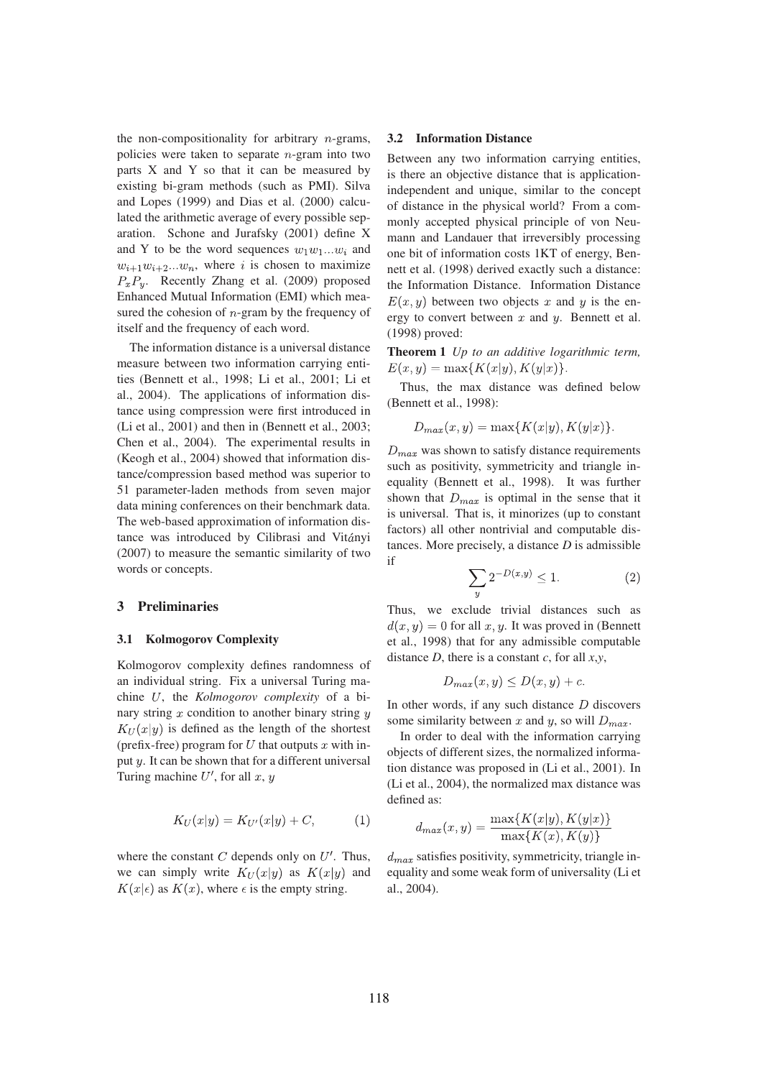the non-compositionality for arbitrary  $n$ -grams, policies were taken to separate  $n$ -gram into two parts X and Y so that it can be measured by existing bi-gram methods (such as PMI). Silva and Lopes (1999) and Dias et al. (2000) calculated the arithmetic average of every possible separation. Schone and Jurafsky (2001) define X and Y to be the word sequences  $w_1w_1...w_i$  and  $w_{i+1}w_{i+2}...w_n$ , where i is chosen to maximize  $P_x P_y$ . Recently Zhang et al. (2009) proposed Enhanced Mutual Information (EMI) which measured the cohesion of  $n$ -gram by the frequency of itself and the frequency of each word.

The information distance is a universal distance measure between two information carrying entities (Bennett et al., 1998; Li et al., 2001; Li et al., 2004). The applications of information distance using compression were first introduced in (Li et al., 2001) and then in (Bennett et al., 2003; Chen et al., 2004). The experimental results in (Keogh et al., 2004) showed that information distance/compression based method was superior to 51 parameter-laden methods from seven major data mining conferences on their benchmark data. The web-based approximation of information distance was introduced by Cilibrasi and Vitányi (2007) to measure the semantic similarity of two words or concepts.

#### 3 **Preliminaries**

## 3.1 Kolmogorov Complexity

Kolmogorov complexity defines randomness of an individual string. Fix a universal Turing machine  $U$ , the *Kolmogorov complexity* of a binary string  $x$  condition to another binary string  $y$  $K_U(x|y)$  is defined as the length of the shortest (prefix-free) program for  $U$  that outputs  $x$  with input  $y$ . It can be shown that for a different universal Turing machine  $U'$ , for all  $x, y$ 

$$
K_U(x|y) = K_{U'}(x|y) + C,
$$
 (1)

where the constant  $C$  depends only on  $U'$ . Thus, we can simply write  $K_U(x|y)$  as  $K(x|y)$  and  $K(x|\epsilon)$  as  $K(x)$ , where  $\epsilon$  is the empty string.

### 3.2 Information Distance

Between any two information carrying entities, is there an objective distance that is applicationindependent and unique, similar to the concept of distance in the physical world? From a commonly accepted physical principle of von Neumann and Landauer that irreversibly processing one bit of information costs 1KT of energy, Bennett et al. (1998) derived exactly such a distance: the Information Distance. Information Distance  $E(x, y)$  between two objects x and y is the energy to convert between  $x$  and  $y$ . Bennett et al. (1998) proved:

Theorem 1 Up to an additive logarithmic term,  $E(x, y) = \max\{K(x|y), K(y|x)\}.$ 

Thus, the max distance was defined below (Bennett et al., 1998):

$$
D_{max}(x, y) = \max\{K(x|y), K(y|x)\}.
$$

 $D_{max}$  was shown to satisfy distance requirements such as positivity, symmetricity and triangle inequality (Bennett et al., 1998). It was further shown that  $D_{max}$  is optimal in the sense that it is universal. That is, it minorizes (up to constant factors) all other nontrivial and computable distances. More precisely, a distance  $D$  is admissible if

$$
\sum_{y} 2^{-D(x,y)} \le 1. \tag{2}
$$

Thus, we exclude trivial distances such as  $d(x, y) = 0$  for all x, y. It was proved in (Bennett et al., 1998) that for any admissible computable distance  $D$ , there is a constant  $c$ , for all  $x, y$ ,

$$
D_{max}(x, y) \le D(x, y) + c.
$$

In other words, if any such distance  $D$  discovers some similarity between x and y, so will  $D_{max}$ .

In order to deal with the information carrying objects of different sizes, the normalized information distance was proposed in (Li et al., 2001). In (Li et al., 2004), the normalized max distance was defined as:

$$
d_{max}(x, y) = \frac{\max\{K(x|y), K(y|x)\}}{\max\{K(x), K(y)\}}
$$

 $d_{max}$  satisfies positivity, symmetricity, triangle inequality and some weak form of universality (Li et al., 2004).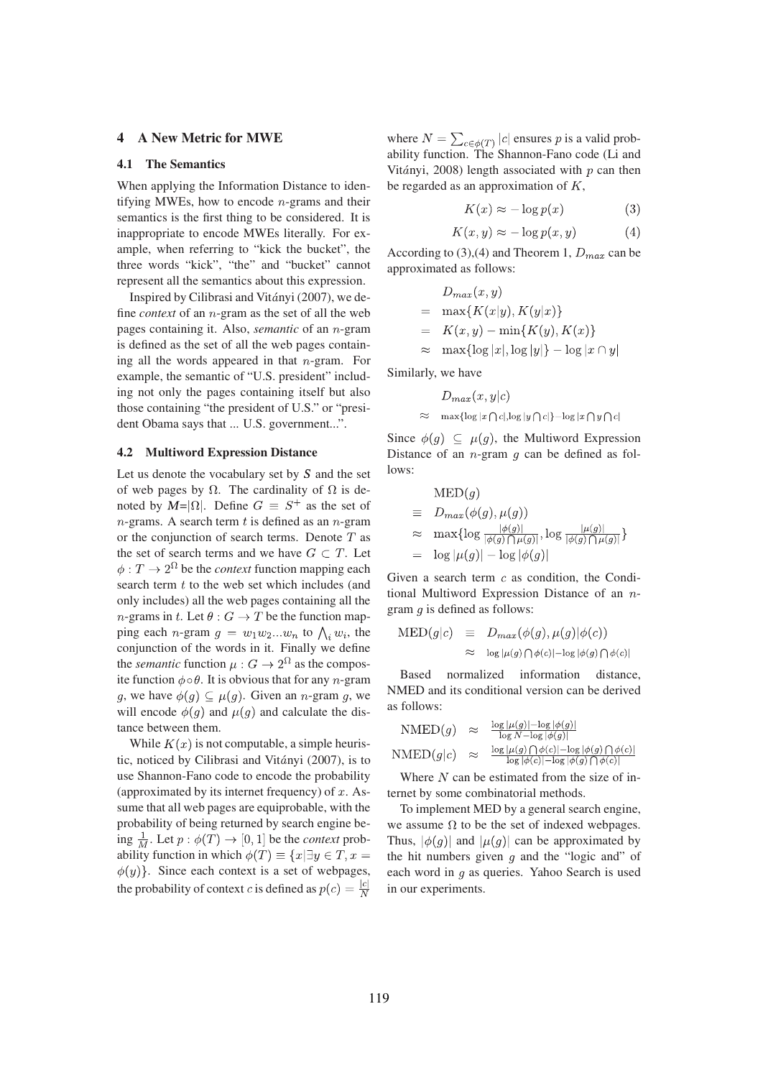### **A New Metric for MWE**  $\blacktriangle$

#### $4.1$ **The Semantics**

When applying the Information Distance to identifying MWEs, how to encode  $n$ -grams and their semantics is the first thing to be considered. It is inappropriate to encode MWEs literally. For example, when referring to "kick the bucket", the three words "kick", "the" and "bucket" cannot represent all the semantics about this expression.

Inspired by Cilibrasi and Vitányi (2007), we define *context* of an  $n$ -gram as the set of all the web pages containing it. Also, *semantic* of an *n*-gram is defined as the set of all the web pages containing all the words appeared in that  $n$ -gram. For example, the semantic of "U.S. president" including not only the pages containing itself but also those containing "the president of U.S." or "president Obama says that ... U.S. government...".

### **4.2 Multiword Expression Distance**

Let us denote the vocabulary set by  $S$  and the set of web pages by  $\Omega$ . The cardinality of  $\Omega$  is denoted by  $M=|\Omega|$ . Define  $G \equiv S^+$  as the set of *n*-grams. A search term  $t$  is defined as an *n*-gram or the conjunction of search terms. Denote  $T$  as the set of search terms and we have  $G \subset T$ . Let  $\phi: T \to 2^{\Omega}$  be the *context* function mapping each search term  $t$  to the web set which includes (and only includes) all the web pages containing all the *n*-grams in t. Let  $\theta$  :  $G \rightarrow T$  be the function mapping each *n*-gram  $g = w_1w_2...w_n$  to  $\bigwedge_i w_i$ , the conjunction of the words in it. Finally we define the *semantic* function  $\mu$ :  $G \rightarrow 2^{\Omega}$  as the composite function  $\phi \circ \theta$ . It is obvious that for any *n*-gram g, we have  $\phi(g) \subseteq \mu(g)$ . Given an *n*-gram g, we will encode  $\phi(q)$  and  $\mu(q)$  and calculate the distance between them.

While  $K(x)$  is not computable, a simple heuristic, noticed by Cilibrasi and Vitányi (2007), is to use Shannon-Fano code to encode the probability (approximated by its internet frequency) of  $x$ . Assume that all web pages are equiprobable, with the probability of being returned by search engine being  $\frac{1}{M}$ . Let  $p : \phi(T) \rightarrow [0, 1]$  be the *context* probability function in which  $\phi(T) \equiv \{x | \exists y \in T, x =$  $\phi(y)$ . Since each context is a set of webpages, the probability of context c is defined as  $p(c) = \frac{|c|}{N}$ 

where  $N = \sum_{c \in \phi(T)} |c|$  ensures p is a valid probability function. The Shannon-Fano code (Li and Vitányi, 2008) length associated with  $p$  can then be regarded as an approximation of  $K$ ,

$$
K(x) \approx -\log p(x) \tag{3}
$$

$$
K(x, y) \approx -\log p(x, y) \tag{4}
$$

According to (3), (4) and Theorem 1,  $D_{max}$  can be approximated as follows:

$$
D_{max}(x, y)
$$
  
= max{ $K(x|y), K(y|x)$ }  
=  $K(x, y)$  - min{ $K(y), K(x)$ }  
 $\approx$  max{log $|x|$ , log $|y|$ } - log $|x \cap y|$ 

Similarly, we have

$$
D_{max}(x, y|c)
$$
  
\n
$$
\approx \max{\log|x \cap c|} \log|y \cap c|} - \log|x \cap y \cap c|
$$

Since  $\phi(g) \subseteq \mu(g)$ , the Multiword Expression Distance of an  $n$ -gram  $g$  can be defined as follows:

$$
\begin{aligned}\n&\text{MED}(g) \\
&\equiv D_{max}(\phi(g), \mu(g)) \\
&\approx \max\{\log \frac{|\phi(g)|}{|\phi(g)\bigcap \mu(g)|}, \log \frac{|\mu(g)|}{|\phi(g)\bigcap \mu(g)|}\} \\
&= \log |\mu(g)| - \log |\phi(g)|\n\end{aligned}
$$

Given a search term  $c$  as condition, the Conditional Multiword Expression Distance of an ngram  $q$  is defined as follows:

$$
\begin{array}{rcl}\n\mathrm{MED}(g|c) & \equiv & D_{max}(\phi(g), \mu(g)|\phi(c)) \\
&\approx & \log|\mu(g) \bigcap \phi(c)| - \log|\phi(g) \bigcap \phi(c)|\n\end{array}
$$

**Based** normalized information distance. NMED and its conditional version can be derived as follows:

$$
\begin{array}{rcl}\n\text{NMED}(g) & \approx & \frac{\log|\mu(g)| - \log|\phi(g)|}{\log N - \log|\phi(g)|} \\
\text{NMED}(g|c) & \approx & \frac{\log|\mu(g) \bigcap \phi(c)| - \log|\phi(g) \bigcap \phi(c)|}{\log|\phi(c)| - \log|\phi(g) \bigcap \phi(c)|}\n\end{array}
$$

Where  $N$  can be estimated from the size of internet by some combinatorial methods.

To implement MED by a general search engine, we assume  $\Omega$  to be the set of indexed webpages. Thus,  $|\phi(g)|$  and  $|\mu(g)|$  can be approximated by the hit numbers given  $g$  and the "logic and" of each word in g as queries. Yahoo Search is used in our experiments.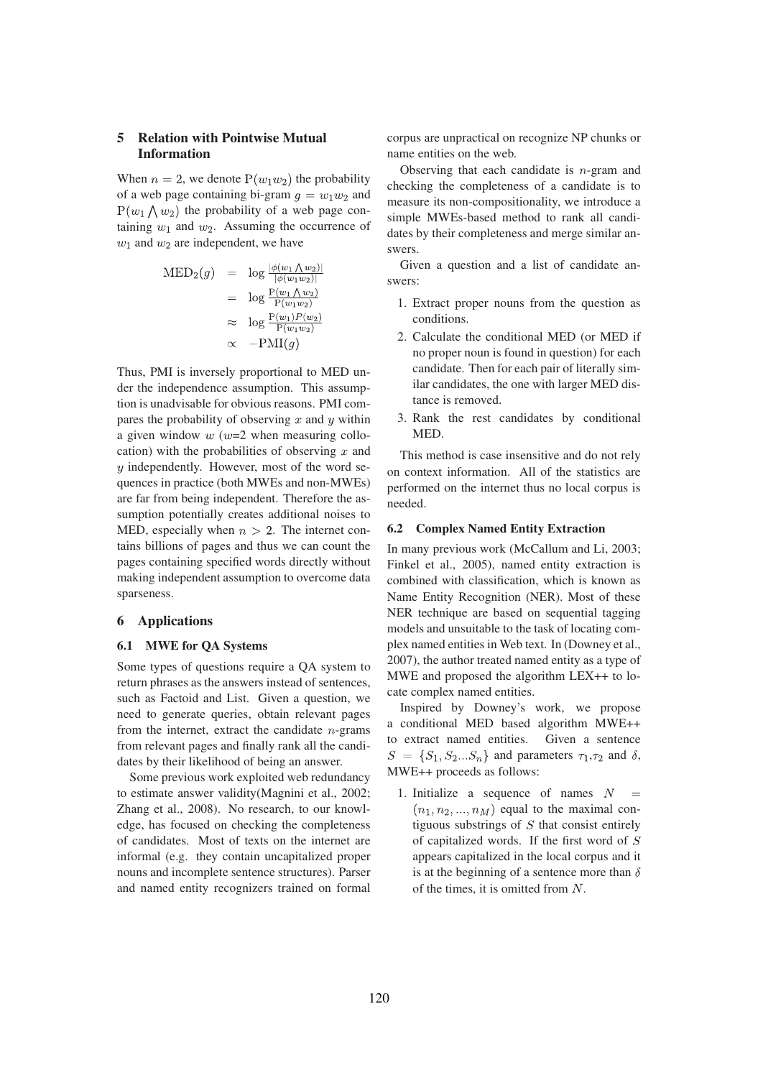## **5** Relation with Pointwise Mutual **Information**

When  $n = 2$ , we denote  $P(w_1w_2)$  the probability of a web page containing bi-gram  $q = w_1w_2$  and  $P(w_1 \wedge w_2)$  the probability of a web page containing  $w_1$  and  $w_2$ . Assuming the occurrence of  $w_1$  and  $w_2$  are independent, we have

$$
\begin{array}{rcl}\n\text{MED}_2(g) & = & \log \frac{|\phi(w_1 \bigwedge w_2)|}{|\phi(w_1 w_2)|} \\
& = & \log \frac{\text{P}(w_1 \bigwedge w_2)}{\text{P}(w_1 w_2)} \\
& \approx & \log \frac{\text{P}(w_1) \text{P}(w_2)}{\text{P}(w_1 w_2)} \\
& \propto & -\text{PMI}(g)\n\end{array}
$$

Thus, PMI is inversely proportional to MED under the independence assumption. This assumption is unadvisable for obvious reasons. PMI compares the probability of observing  $x$  and  $y$  within a given window  $w(w=2)$  when measuring collocation) with the probabilities of observing  $x$  and  $y$  independently. However, most of the word sequences in practice (both MWEs and non-MWEs) are far from being independent. Therefore the assumption potentially creates additional noises to MED, especially when  $n > 2$ . The internet contains billions of pages and thus we can count the pages containing specified words directly without making independent assumption to overcome data sparseness.

## 6 Applications

## 6.1 MWE for QA Systems

Some types of questions require a QA system to return phrases as the answers instead of sentences, such as Factoid and List. Given a question, we need to generate queries, obtain relevant pages from the internet, extract the candidate  $n$ -grams from relevant pages and finally rank all the candidates by their likelihood of being an answer.

Some previous work exploited web redundancy to estimate answer validity (Magnini et al., 2002; Zhang et al., 2008). No research, to our knowledge, has focused on checking the completeness of candidates. Most of texts on the internet are informal (e.g. they contain uncapitalized proper nouns and incomplete sentence structures). Parser and named entity recognizers trained on formal corpus are unpractical on recognize NP chunks or name entities on the web.

Observing that each candidate is  $n$ -gram and checking the completeness of a candidate is to measure its non-compositionality, we introduce a simple MWEs-based method to rank all candidates by their completeness and merge similar an- $\alpha$ 

Given a question and a list of candidate answers:

- 1. Extract proper nouns from the question as conditions
- 2. Calculate the conditional MED (or MED if no proper noun is found in question) for each candidate. Then for each pair of literally similar candidates, the one with larger MED distance is removed.
- 3. Rank the rest candidates by conditional MED.

This method is case insensitive and do not rely on context information. All of the statistics are performed on the internet thus no local corpus is needed.

## **6.2 Complex Named Entity Extraction**

In many previous work (McCallum and Li, 2003; Finkel et al., 2005), named entity extraction is combined with classification, which is known as Name Entity Recognition (NER). Most of these NER technique are based on sequential tagging models and unsuitable to the task of locating complex named entities in Web text. In (Downey et al., 2007), the author treated named entity as a type of MWE and proposed the algorithm LEX++ to locate complex named entities.

Inspired by Downey's work, we propose a conditional MED based algorithm MWE++ to extract named entities. Given a sentence  $S = \{S_1, S_2...S_n\}$  and parameters  $\tau_1, \tau_2$  and  $\delta$ , MWE++ proceeds as follows:

1. Initialize a sequence of names  $N =$  $(n_1, n_2, ..., n_M)$  equal to the maximal contiguous substrings of  $S$  that consist entirely of capitalized words. If the first word of  $S$ appears capitalized in the local corpus and it is at the beginning of a sentence more than  $\delta$ of the times, it is omitted from  $N$ .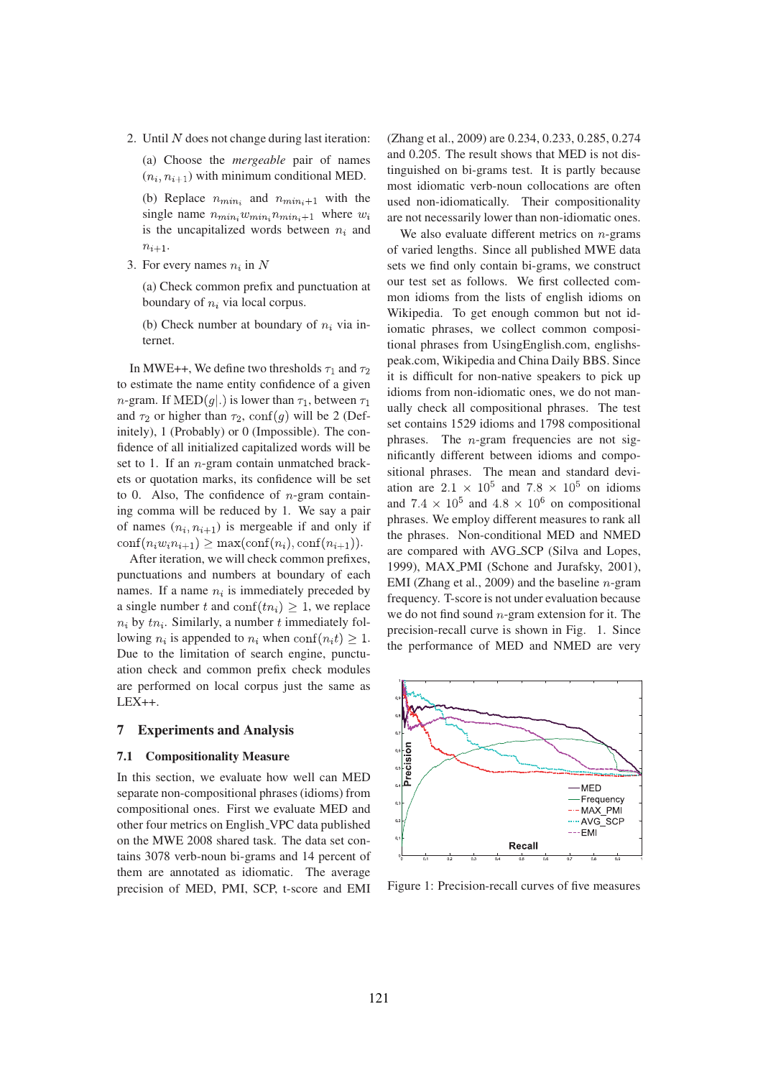2. Until  $N$  does not change during last iteration:

(a) Choose the *mergeable* pair of names  $(n_i, n_{i+1})$  with minimum conditional MED.

(b) Replace  $n_{min_i}$  and  $n_{min_i+1}$  with the single name  $n_{min_i}w_{min_i}n_{min_i+1}$  where  $w_i$ is the uncapitalized words between  $n_i$  and  $n_{i+1}$ .

3. For every names  $n_i$  in N

(a) Check common prefix and punctuation at boundary of  $n_i$  via local corpus.

(b) Check number at boundary of  $n_i$  via internet.

In MWE++, We define two thresholds  $\tau_1$  and  $\tau_2$ to estimate the name entity confidence of a given *n*-gram. If  $\text{MED}(g|.)$  is lower than  $\tau_1$ , between  $\tau_1$ and  $\tau_2$  or higher than  $\tau_2$ , conf(q) will be 2 (Definitely), 1 (Probably) or 0 (Impossible). The confidence of all initialized capitalized words will be set to 1. If an *n*-gram contain unmatched brackets or quotation marks, its confidence will be set to 0. Also, The confidence of  $n$ -gram containing comma will be reduced by 1. We say a pair of names  $(n_i, n_{i+1})$  is mergeable if and only if  $\operatorname{conf}(n_i w_i n_{i+1}) \geq \max(\operatorname{conf}(n_i), \operatorname{conf}(n_{i+1})).$ 

After iteration, we will check common prefixes, punctuations and numbers at boundary of each names. If a name  $n_i$  is immediately preceded by a single number t and conf $(tn_i) \geq 1$ , we replace  $n_i$  by  $tn_i$ . Similarly, a number t immediately following  $n_i$  is appended to  $n_i$  when  $\text{conf}(n_i t) \geq 1$ . Due to the limitation of search engine, punctuation check and common prefix check modules are performed on local corpus just the same as  $LEX++$ .

#### 7 **Experiments and Analysis**

### 7.1 **Compositionality Measure**

In this section, we evaluate how well can MED separate non-compositional phrases (idioms) from compositional ones. First we evaluate MED and other four metrics on English\_VPC data published on the MWE 2008 shared task. The data set contains 3078 verb-noun bi-grams and 14 percent of them are annotated as idiomatic. The average precision of MED, PMI, SCP, t-score and EMI (Zhang et al., 2009) are 0.234, 0.233, 0.285, 0.274 and 0.205. The result shows that MED is not distinguished on bi-grams test. It is partly because most idiomatic verb-noun collocations are often used non-idiomatically. Their compositionality are not necessarily lower than non-idiomatic ones.

We also evaluate different metrics on  $n$ -grams of varied lengths. Since all published MWE data sets we find only contain bi-grams, we construct our test set as follows. We first collected common idioms from the lists of english idioms on Wikipedia. To get enough common but not idiomatic phrases, we collect common compositional phrases from UsingEnglish.com, englishspeak.com, Wikipedia and China Daily BBS. Since it is difficult for non-native speakers to pick up idioms from non-idiomatic ones, we do not manually check all compositional phrases. The test set contains 1529 idioms and 1798 compositional phrases. The  $n$ -gram frequencies are not significantly different between idioms and compositional phrases. The mean and standard deviation are  $2.1 \times 10^5$  and  $7.8 \times 10^5$  on idioms and  $7.4 \times 10^5$  and  $4.8 \times 10^6$  on compositional phrases. We employ different measures to rank all the phrases. Non-conditional MED and NMED are compared with AVG\_SCP (Silva and Lopes, 1999), MAX\_PMI (Schone and Jurafsky, 2001), EMI (Zhang et al., 2009) and the baseline  $n$ -gram frequency. T-score is not under evaluation because we do not find sound  $n$ -gram extension for it. The precision-recall curve is shown in Fig. 1. Since the performance of MED and NMED are very



Figure 1: Precision-recall curves of five measures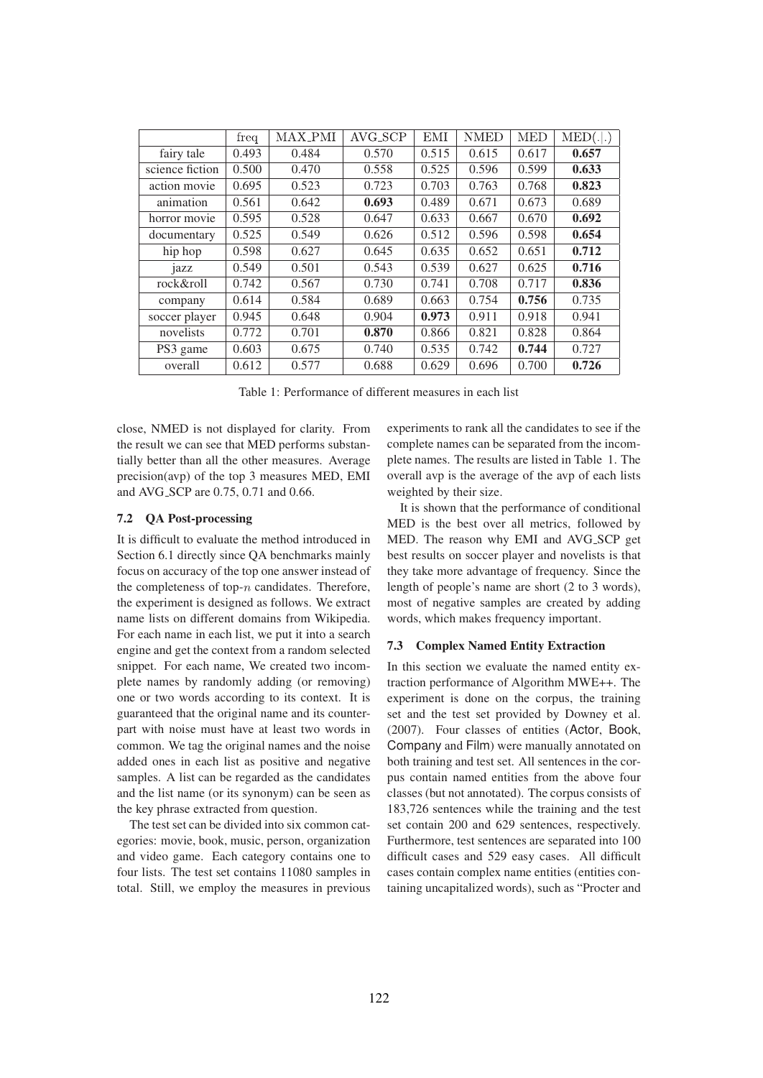|                 | freq  | <b>MAX_PMI</b> | AVG_SCP | <b>EMI</b> | <b>NMED</b> | $\operatorname{MED}$ | MED(. .) |
|-----------------|-------|----------------|---------|------------|-------------|----------------------|----------|
| fairy tale      | 0.493 | 0.484          | 0.570   | 0.515      | 0.615       | 0.617                | 0.657    |
| science fiction | 0.500 | 0.470          | 0.558   | 0.525      | 0.596       | 0.599                | 0.633    |
| action movie    | 0.695 | 0.523          | 0.723   | 0.703      | 0.763       | 0.768                | 0.823    |
| animation       | 0.561 | 0.642          | 0.693   | 0.489      | 0.671       | 0.673                | 0.689    |
| horror movie    | 0.595 | 0.528          | 0.647   | 0.633      | 0.667       | 0.670                | 0.692    |
| documentary     | 0.525 | 0.549          | 0.626   | 0.512      | 0.596       | 0.598                | 0.654    |
| hip hop         | 0.598 | 0.627          | 0.645   | 0.635      | 0.652       | 0.651                | 0.712    |
| jazz            | 0.549 | 0.501          | 0.543   | 0.539      | 0.627       | 0.625                | 0.716    |
| rock&roll       | 0.742 | 0.567          | 0.730   | 0.741      | 0.708       | 0.717                | 0.836    |
| company         | 0.614 | 0.584          | 0.689   | 0.663      | 0.754       | 0.756                | 0.735    |
| soccer player   | 0.945 | 0.648          | 0.904   | 0.973      | 0.911       | 0.918                | 0.941    |
| novelists       | 0.772 | 0.701          | 0.870   | 0.866      | 0.821       | 0.828                | 0.864    |
| PS3 game        | 0.603 | 0.675          | 0.740   | 0.535      | 0.742       | 0.744                | 0.727    |
| overall         | 0.612 | 0.577          | 0.688   | 0.629      | 0.696       | 0.700                | 0.726    |

Table 1: Performance of different measures in each list

close, NMED is not displayed for clarity. From the result we can see that MED performs substantially better than all the other measures. Average  $precision(\text{avp})$  of the top 3 measures MED, EMI and AVG\_SCP are 0.75, 0.71 and 0.66.

## 7.2 QA Post-processing

It is difficult to evaluate the method introduced in Section 6.1 directly since QA benchmarks mainly focus on accuracy of the top one answer instead of the completeness of top- $n$  candidates. Therefore, the experiment is designed as follows. We extract name lists on different domains from Wikipedia. For each name in each list, we put it into a search engine and get the context from a random selected snippet. For each name, We created two incomplete names by randomly adding (or removing) one or two words according to its context. It is guaranteed that the original name and its counterpart with noise must have at least two words in common. We tag the original names and the noise added ones in each list as positive and negative samples. A list can be regarded as the candidates and the list name (or its synonym) can be seen as the key phrase extracted from question.

The test set can be divided into six common categories: movie, book, music, person, organization and video game. Each category contains one to four lists. The test set contains 11080 samples in total. Still, we employ the measures in previous experiments to rank all the candidates to see if the complete names can be separated from the incomplete names. The results are listed in Table 1. The overall avp is the average of the avp of each lists weighted by their size.

It is shown that the performance of conditional MED is the best over all metrics, followed by MED. The reason why EMI and AVG\_SCP get best results on soccer player and novelists is that they take more advantage of frequency. Since the length of people's name are short  $(2 \text{ to } 3 \text{ words})$ , most of negative samples are created by adding words, which makes frequency important.

### **7.3 Complex Named Entity Extraction**

In this section we evaluate the named entity extraction performance of Algorithm MWE++. The experiment is done on the corpus, the training set and the test set provided by Downey et al. (2007). Four classes of entities (Actor, Book, Company and Film) were manually annotated on both training and test set. All sentences in the corpus contain named entities from the above four classes (but not annotated). The corpus consists of 183,726 sentences while the training and the test set contain 200 and 629 sentences, respectively. Furthermore, test sentences are separated into 100 difficult cases and 529 easy cases. All difficult cases contain complex name entities (entities containing uncapitalized words), such as "Procter and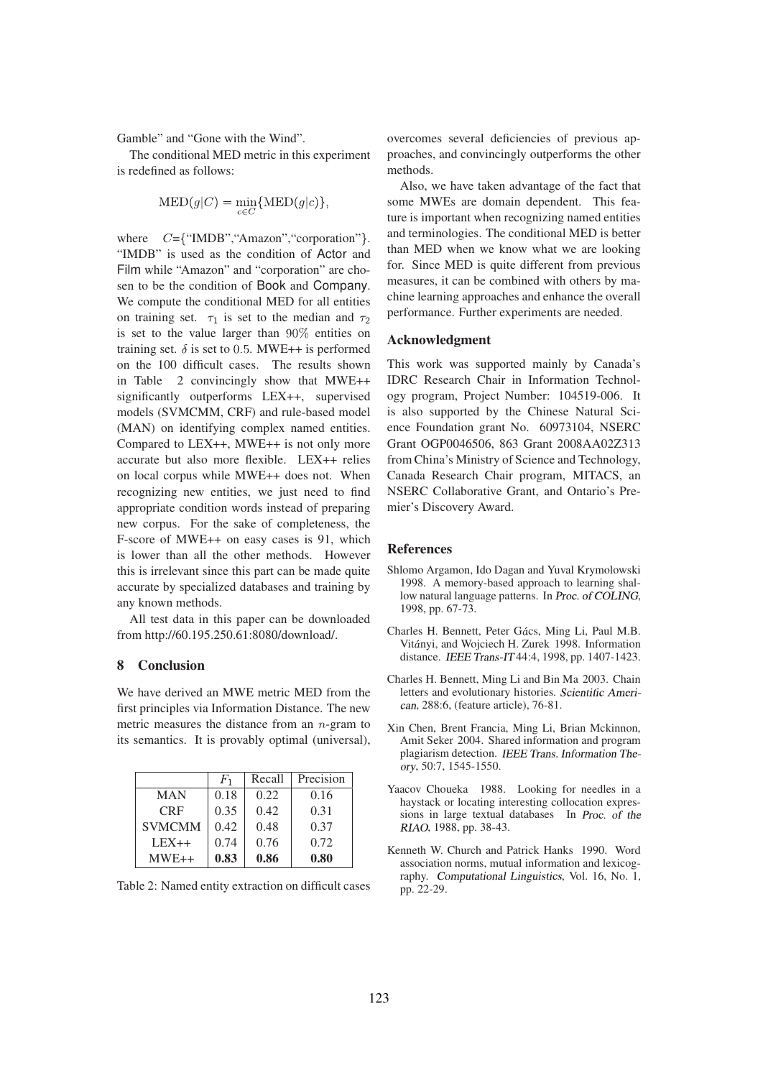Gamble" and "Gone with the Wind".

The conditional MED metric in this experiment is redefined as follows:

$$
MED(g|C) = \min_{c \in C} \{MED(g|c)\},\
$$

where  $C = \{$ "IMDB", "Amazon", "corporation"  $\}.$ "IMDB" is used as the condition of Actor and Film while "Amazon" and "corporation" are chosen to be the condition of Book and Company. We compute the conditional MED for all entities on training set.  $\tau_1$  is set to the median and  $\tau_2$ is set to the value larger than  $90\%$  entities on training set.  $\delta$  is set to 0.5. MWE++ is performed on the 100 difficult cases. The results shown in Table 2 convincingly show that MWE++ significantly outperforms LEX++, supervised models (SVMCMM, CRF) and rule-based model (MAN) on identifying complex named entities. Compared to LEX++, MWE++ is not only more accurate but also more flexible. LEX++ relies on local corpus while MWE++ does not. When recognizing new entities, we just need to find appropriate condition words instead of preparing new corpus. For the sake of completeness, the F-score of MWE++ on easy cases is 91, which is lower than all the other methods. However this is irrelevant since this part can be made quite accurate by specialized databases and training by any known methods.

All test data in this paper can be downloaded from http://60.195.250.61:8080/download/.

### 8 **Conclusion**

We have derived an MWE metric MED from the first principles via Information Distance. The new metric measures the distance from an  $n$ -gram to its semantics. It is provably optimal (universal),

|               | Fı   | Recall | Precision |
|---------------|------|--------|-----------|
| <b>MAN</b>    | 0.18 | 0.22   | 0.16      |
| <b>CRF</b>    | 0.35 | 0.42   | 0.31      |
| <b>SVMCMM</b> | 0.42 | 0.48   | 0.37      |
| $LEX++$       | 0.74 | 0.76   | 0.72      |
| $MWE++$       | 0.83 | 0.86   | 0.80      |

|  |  |  |  |  |  | Table 2: Named entity extraction on difficult cases |
|--|--|--|--|--|--|-----------------------------------------------------|
|--|--|--|--|--|--|-----------------------------------------------------|

overcomes several deficiencies of previous approaches, and convincingly outperforms the other methods

Also, we have taken advantage of the fact that some MWEs are domain dependent. This feature is important when recognizing named entities and terminologies. The conditional MED is better than MED when we know what we are looking for. Since MED is quite different from previous measures, it can be combined with others by machine learning approaches and enhance the overall performance. Further experiments are needed.

## **Acknowledgment**

This work was supported mainly by Canada's IDRC Research Chair in Information Technology program, Project Number: 104519-006. It is also supported by the Chinese Natural Science Foundation grant No. 60973104, NSERC Grant OGP0046506, 863 Grant 2008AA02Z313 from China's Ministry of Science and Technology, Canada Research Chair program, MITACS, an NSERC Collaborative Grant, and Ontario's Premier's Discovery Award.

### **References**

- Shlomo Argamon, Ido Dagan and Yuval Krymolowski 1998. A memory-based approach to learning shallow natural language patterns. In Proc. of COLING, 1998, pp. 67-73.
- Charles H. Bennett, Peter Gács, Ming Li, Paul M.B. Vitányi, and Wojciech H. Zurek 1998. Information distance. IEEE Trans-IT 44:4, 1998, pp. 1407-1423.
- Charles H. Bennett, Ming Li and Bin Ma 2003. Chain letters and evolutionary histories. Scientific American, 288:6, (feature article), 76-81.
- Xin Chen, Brent Francia, Ming Li, Brian Mckinnon, Amit Seker 2004. Shared information and program plagiarism detection. IEEE Trans. Information Theory, 50:7, 1545-1550.
- Yaacov Choueka 1988. Looking for needles in a haystack or locating interesting collocation expressions in large textual databases In Proc. of the RIAO, 1988, pp. 38-43.
- Kenneth W. Church and Patrick Hanks 1990. Word association norms, mutual information and lexicography. Computational Linguistics, Vol. 16, No. 1, pp. 22-29.